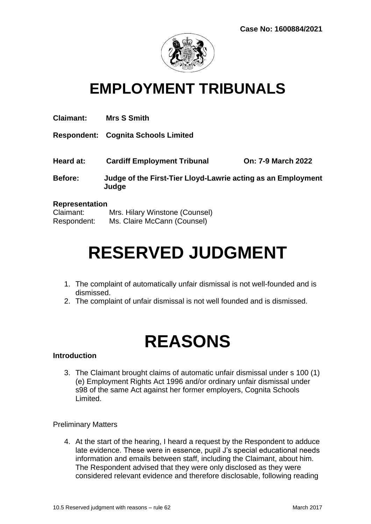

### **EMPLOYMENT TRIBUNALS**

| <b>Claimant:</b>      | <b>Mrs S Smith</b>                                                    |                           |
|-----------------------|-----------------------------------------------------------------------|---------------------------|
|                       | <b>Respondent: Cognita Schools Limited</b>                            |                           |
| Heard at:             | <b>Cardiff Employment Tribunal</b>                                    | <b>On: 7-9 March 2022</b> |
| <b>Before:</b>        | Judge of the First-Tier Lloyd-Lawrie acting as an Employment<br>Judge |                           |
| <b>Representation</b> |                                                                       |                           |
| Claimant:             | Mrs. Hilary Winstone (Counsel)                                        |                           |

Respondent: Ms. Claire McCann (Counsel)

# **RESERVED JUDGMENT**

- 1. The complaint of automatically unfair dismissal is not well-founded and is dismissed.
- 2. The complaint of unfair dismissal is not well founded and is dismissed.

## **REASONS**

#### **Introduction**

3. The Claimant brought claims of automatic unfair dismissal under s 100 (1) (e) Employment Rights Act 1996 and/or ordinary unfair dismissal under s98 of the same Act against her former employers, Cognita Schools Limited.

#### Preliminary Matters

4. At the start of the hearing, I heard a request by the Respondent to adduce late evidence. These were in essence, pupil J's special educational needs information and emails between staff, including the Claimant, about him. The Respondent advised that they were only disclosed as they were considered relevant evidence and therefore disclosable, following reading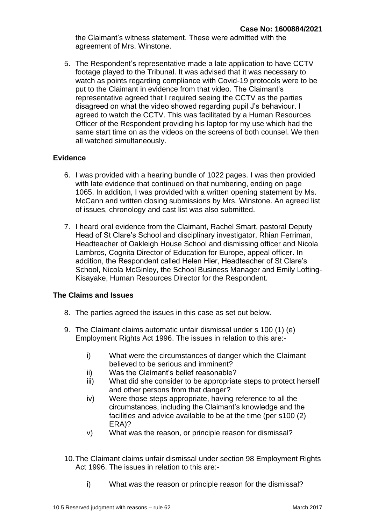the Claimant's witness statement. These were admitted with the agreement of Mrs. Winstone.

5. The Respondent's representative made a late application to have CCTV footage played to the Tribunal. It was advised that it was necessary to watch as points regarding compliance with Covid-19 protocols were to be put to the Claimant in evidence from that video. The Claimant's representative agreed that I required seeing the CCTV as the parties disagreed on what the video showed regarding pupil J's behaviour. I agreed to watch the CCTV. This was facilitated by a Human Resources Officer of the Respondent providing his laptop for my use which had the same start time on as the videos on the screens of both counsel. We then all watched simultaneously.

#### **Evidence**

- 6. I was provided with a hearing bundle of 1022 pages. I was then provided with late evidence that continued on that numbering, ending on page 1065. In addition, I was provided with a written opening statement by Ms. McCann and written closing submissions by Mrs. Winstone. An agreed list of issues, chronology and cast list was also submitted.
- 7. I heard oral evidence from the Claimant, Rachel Smart, pastoral Deputy Head of St Clare's School and disciplinary investigator, Rhian Ferriman, Headteacher of Oakleigh House School and dismissing officer and Nicola Lambros, Cognita Director of Education for Europe, appeal officer. In addition, the Respondent called Helen Hier, Headteacher of St Clare's School, Nicola McGinley, the School Business Manager and Emily Lofting-Kisayake, Human Resources Director for the Respondent.

#### **The Claims and Issues**

- 8. The parties agreed the issues in this case as set out below.
- 9. The Claimant claims automatic unfair dismissal under s 100 (1) (e) Employment Rights Act 1996. The issues in relation to this are:
	- i) What were the circumstances of danger which the Claimant believed to be serious and imminent?
	- ii) Was the Claimant's belief reasonable?
	- iii) What did she consider to be appropriate steps to protect herself and other persons from that danger?
	- iv) Were those steps appropriate, having reference to all the circumstances, including the Claimant's knowledge and the facilities and advice available to be at the time (per s100 (2) ERA)?
	- v) What was the reason, or principle reason for dismissal?
- 10.The Claimant claims unfair dismissal under section 98 Employment Rights Act 1996. The issues in relation to this are:
	- i) What was the reason or principle reason for the dismissal?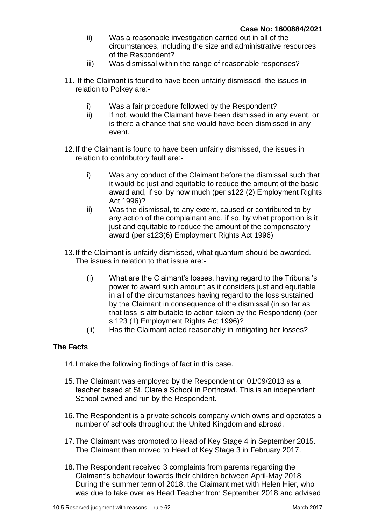- ii) Was a reasonable investigation carried out in all of the circumstances, including the size and administrative resources of the Respondent?
- iii) Was dismissal within the range of reasonable responses?
- 11. If the Claimant is found to have been unfairly dismissed, the issues in relation to Polkey are:
	- i) Was a fair procedure followed by the Respondent?
	- ii) If not, would the Claimant have been dismissed in any event, or is there a chance that she would have been dismissed in any event.
- 12.If the Claimant is found to have been unfairly dismissed, the issues in relation to contributory fault are:
	- i) Was any conduct of the Claimant before the dismissal such that it would be just and equitable to reduce the amount of the basic award and, if so, by how much (per s122 (2) Employment Rights Act 1996)?
	- ii) Was the dismissal, to any extent, caused or contributed to by any action of the complainant and, if so, by what proportion is it just and equitable to reduce the amount of the compensatory award (per s123(6) Employment Rights Act 1996)
- 13.If the Claimant is unfairly dismissed, what quantum should be awarded. The issues in relation to that issue are:-
	- (i) What are the Claimant's losses, having regard to the Tribunal's power to award such amount as it considers just and equitable in all of the circumstances having regard to the loss sustained by the Claimant in consequence of the dismissal (in so far as that loss is attributable to action taken by the Respondent) (per s 123 (1) Employment Rights Act 1996)?
	- (ii) Has the Claimant acted reasonably in mitigating her losses?

#### **The Facts**

- 14.I make the following findings of fact in this case.
- 15.The Claimant was employed by the Respondent on 01/09/2013 as a teacher based at St. Clare's School in Porthcawl. This is an independent School owned and run by the Respondent.
- 16.The Respondent is a private schools company which owns and operates a number of schools throughout the United Kingdom and abroad.
- 17.The Claimant was promoted to Head of Key Stage 4 in September 2015. The Claimant then moved to Head of Key Stage 3 in February 2017.
- 18.The Respondent received 3 complaints from parents regarding the Claimant's behaviour towards their children between April-May 2018. During the summer term of 2018, the Claimant met with Helen Hier, who was due to take over as Head Teacher from September 2018 and advised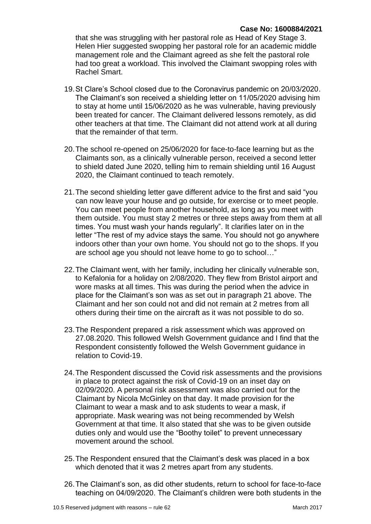that she was struggling with her pastoral role as Head of Key Stage 3. Helen Hier suggested swopping her pastoral role for an academic middle management role and the Claimant agreed as she felt the pastoral role had too great a workload. This involved the Claimant swopping roles with Rachel Smart.

- 19.St Clare's School closed due to the Coronavirus pandemic on 20/03/2020. The Claimant's son received a shielding letter on 11/05/2020 advising him to stay at home until 15/06/2020 as he was vulnerable, having previously been treated for cancer. The Claimant delivered lessons remotely, as did other teachers at that time. The Claimant did not attend work at all during that the remainder of that term.
- 20.The school re-opened on 25/06/2020 for face-to-face learning but as the Claimants son, as a clinically vulnerable person, received a second letter to shield dated June 2020, telling him to remain shielding until 16 August 2020, the Claimant continued to teach remotely.
- 21.The second shielding letter gave different advice to the first and said "you can now leave your house and go outside, for exercise or to meet people. You can meet people from another household, as long as you meet with them outside. You must stay 2 metres or three steps away from them at all times. You must wash your hands regularly". It clarifies later on in the letter "The rest of my advice stays the same. You should not go anywhere indoors other than your own home. You should not go to the shops. If you are school age you should not leave home to go to school…"
- 22.The Claimant went, with her family, including her clinically vulnerable son, to Kefalonia for a holiday on 2/08/2020. They flew from Bristol airport and wore masks at all times. This was during the period when the advice in place for the Claimant's son was as set out in paragraph 21 above. The Claimant and her son could not and did not remain at 2 metres from all others during their time on the aircraft as it was not possible to do so.
- 23.The Respondent prepared a risk assessment which was approved on 27.08.2020. This followed Welsh Government guidance and I find that the Respondent consistently followed the Welsh Government guidance in relation to Covid-19.
- 24.The Respondent discussed the Covid risk assessments and the provisions in place to protect against the risk of Covid-19 on an inset day on 02/09/2020. A personal risk assessment was also carried out for the Claimant by Nicola McGinley on that day. It made provision for the Claimant to wear a mask and to ask students to wear a mask, if appropriate. Mask wearing was not being recommended by Welsh Government at that time. It also stated that she was to be given outside duties only and would use the "Boothy toilet" to prevent unnecessary movement around the school.
- 25.The Respondent ensured that the Claimant's desk was placed in a box which denoted that it was 2 metres apart from any students.
- 26.The Claimant's son, as did other students, return to school for face-to-face teaching on 04/09/2020. The Claimant's children were both students in the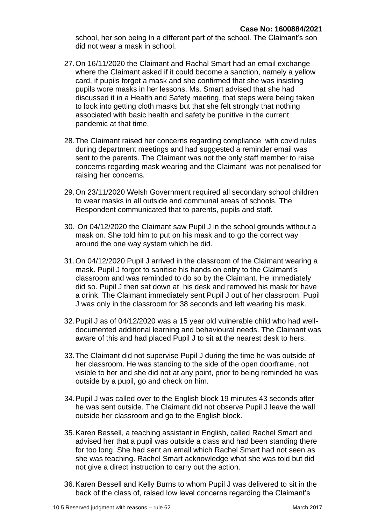school, her son being in a different part of the school. The Claimant's son did not wear a mask in school.

- 27.On 16/11/2020 the Claimant and Rachal Smart had an email exchange where the Claimant asked if it could become a sanction, namely a yellow card, if pupils forget a mask and she confirmed that she was insisting pupils wore masks in her lessons. Ms. Smart advised that she had discussed it in a Health and Safety meeting, that steps were being taken to look into getting cloth masks but that she felt strongly that nothing associated with basic health and safety be punitive in the current pandemic at that time.
- 28.The Claimant raised her concerns regarding compliance with covid rules during department meetings and had suggested a reminder email was sent to the parents. The Claimant was not the only staff member to raise concerns regarding mask wearing and the Claimant was not penalised for raising her concerns.
- 29.On 23/11/2020 Welsh Government required all secondary school children to wear masks in all outside and communal areas of schools. The Respondent communicated that to parents, pupils and staff.
- 30. On 04/12/2020 the Claimant saw Pupil J in the school grounds without a mask on. She told him to put on his mask and to go the correct way around the one way system which he did.
- 31.On 04/12/2020 Pupil J arrived in the classroom of the Claimant wearing a mask. Pupil J forgot to sanitise his hands on entry to the Claimant's classroom and was reminded to do so by the Claimant. He immediately did so. Pupil J then sat down at his desk and removed his mask for have a drink. The Claimant immediately sent Pupil J out of her classroom. Pupil J was only in the classroom for 38 seconds and left wearing his mask.
- 32.Pupil J as of 04/12/2020 was a 15 year old vulnerable child who had welldocumented additional learning and behavioural needs. The Claimant was aware of this and had placed Pupil J to sit at the nearest desk to hers.
- 33.The Claimant did not supervise Pupil J during the time he was outside of her classroom. He was standing to the side of the open doorframe, not visible to her and she did not at any point, prior to being reminded he was outside by a pupil, go and check on him.
- 34.Pupil J was called over to the English block 19 minutes 43 seconds after he was sent outside. The Claimant did not observe Pupil J leave the wall outside her classroom and go to the English block.
- 35.Karen Bessell, a teaching assistant in English, called Rachel Smart and advised her that a pupil was outside a class and had been standing there for too long. She had sent an email which Rachel Smart had not seen as she was teaching. Rachel Smart acknowledge what she was told but did not give a direct instruction to carry out the action.
- 36.Karen Bessell and Kelly Burns to whom Pupil J was delivered to sit in the back of the class of, raised low level concerns regarding the Claimant's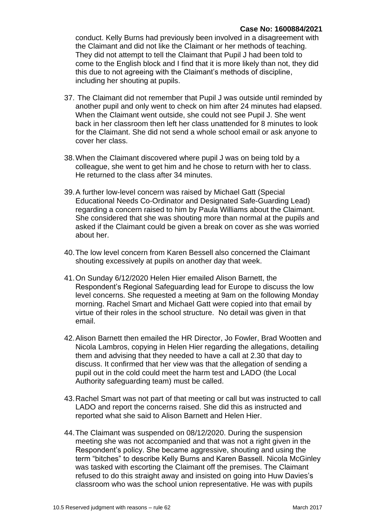conduct. Kelly Burns had previously been involved in a disagreement with the Claimant and did not like the Claimant or her methods of teaching. They did not attempt to tell the Claimant that Pupil J had been told to come to the English block and I find that it is more likely than not, they did this due to not agreeing with the Claimant's methods of discipline, including her shouting at pupils.

- 37. The Claimant did not remember that Pupil J was outside until reminded by another pupil and only went to check on him after 24 minutes had elapsed. When the Claimant went outside, she could not see Pupil J. She went back in her classroom then left her class unattended for 8 minutes to look for the Claimant. She did not send a whole school email or ask anyone to cover her class.
- 38.When the Claimant discovered where pupil J was on being told by a colleague, she went to get him and he chose to return with her to class. He returned to the class after 34 minutes.
- 39.A further low-level concern was raised by Michael Gatt (Special Educational Needs Co-Ordinator and Designated Safe-Guarding Lead) regarding a concern raised to him by Paula Williams about the Claimant. She considered that she was shouting more than normal at the pupils and asked if the Claimant could be given a break on cover as she was worried about her.
- 40.The low level concern from Karen Bessell also concerned the Claimant shouting excessively at pupils on another day that week.
- 41.On Sunday 6/12/2020 Helen Hier emailed Alison Barnett, the Respondent's Regional Safeguarding lead for Europe to discuss the low level concerns. She requested a meeting at 9am on the following Monday morning. Rachel Smart and Michael Gatt were copied into that email by virtue of their roles in the school structure. No detail was given in that email.
- 42.Alison Barnett then emailed the HR Director, Jo Fowler, Brad Wootten and Nicola Lambros, copying in Helen Hier regarding the allegations, detailing them and advising that they needed to have a call at 2.30 that day to discuss. It confirmed that her view was that the allegation of sending a pupil out in the cold could meet the harm test and LADO (the Local Authority safeguarding team) must be called.
- 43.Rachel Smart was not part of that meeting or call but was instructed to call LADO and report the concerns raised. She did this as instructed and reported what she said to Alison Barnett and Helen Hier.
- 44.The Claimant was suspended on 08/12/2020. During the suspension meeting she was not accompanied and that was not a right given in the Respondent's policy. She became aggressive, shouting and using the term "bitches" to describe Kelly Burns and Karen Bassell. Nicola McGinley was tasked with escorting the Claimant off the premises. The Claimant refused to do this straight away and insisted on going into Huw Davies's classroom who was the school union representative. He was with pupils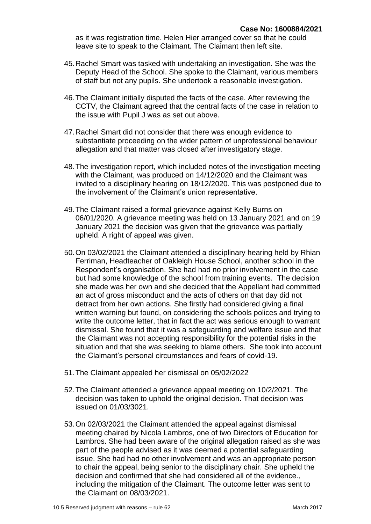as it was registration time. Helen Hier arranged cover so that he could leave site to speak to the Claimant. The Claimant then left site.

- 45.Rachel Smart was tasked with undertaking an investigation. She was the Deputy Head of the School. She spoke to the Claimant, various members of staff but not any pupils. She undertook a reasonable investigation.
- 46.The Claimant initially disputed the facts of the case. After reviewing the CCTV, the Claimant agreed that the central facts of the case in relation to the issue with Pupil J was as set out above.
- 47.Rachel Smart did not consider that there was enough evidence to substantiate proceeding on the wider pattern of unprofessional behaviour allegation and that matter was closed after investigatory stage.
- 48.The investigation report, which included notes of the investigation meeting with the Claimant, was produced on 14/12/2020 and the Claimant was invited to a disciplinary hearing on 18/12/2020. This was postponed due to the involvement of the Claimant's union representative.
- 49.The Claimant raised a formal grievance against Kelly Burns on 06/01/2020. A grievance meeting was held on 13 January 2021 and on 19 January 2021 the decision was given that the grievance was partially upheld. A right of appeal was given.
- 50.On 03/02/2021 the Claimant attended a disciplinary hearing held by Rhian Ferriman, Headteacher of Oakleigh House School, another school in the Respondent's organisation. She had had no prior involvement in the case but had some knowledge of the school from training events. The decision she made was her own and she decided that the Appellant had committed an act of gross misconduct and the acts of others on that day did not detract from her own actions. She firstly had considered giving a final written warning but found, on considering the schools polices and trying to write the outcome letter, that in fact the act was serious enough to warrant dismissal. She found that it was a safeguarding and welfare issue and that the Claimant was not accepting responsibility for the potential risks in the situation and that she was seeking to blame others. She took into account the Claimant's personal circumstances and fears of covid-19.
- 51.The Claimant appealed her dismissal on 05/02/2022
- 52.The Claimant attended a grievance appeal meeting on 10/2/2021. The decision was taken to uphold the original decision. That decision was issued on 01/03/3021.
- 53.On 02/03/2021 the Claimant attended the appeal against dismissal meeting chaired by Nicola Lambros, one of two Directors of Education for Lambros. She had been aware of the original allegation raised as she was part of the people advised as it was deemed a potential safeguarding issue. She had had no other involvement and was an appropriate person to chair the appeal, being senior to the disciplinary chair. She upheld the decision and confirmed that she had considered all of the evidence., including the mitigation of the Claimant. The outcome letter was sent to the Claimant on 08/03/2021.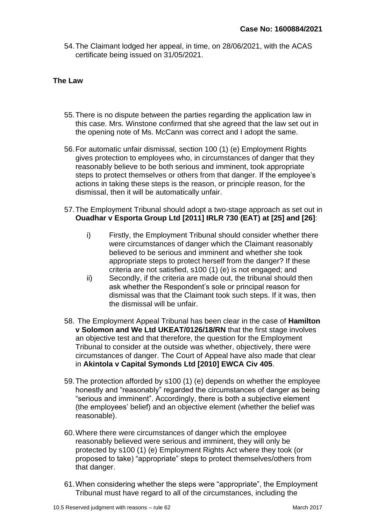54.The Claimant lodged her appeal, in time, on 28/06/2021, with the ACAS certificate being issued on 31/05/2021.

#### **The Law**

- 55.There is no dispute between the parties regarding the application law in this case. Mrs. Winstone confirmed that she agreed that the law set out in the opening note of Ms. McCann was correct and I adopt the same.
- 56.For automatic unfair dismissal, section 100 (1) (e) Employment Rights gives protection to employees who, in circumstances of danger that they reasonably believe to be both serious and imminent, took appropriate steps to protect themselves or others from that danger. If the employee's actions in taking these steps is the reason, or principle reason, for the dismissal, then it will be automatically unfair.
- 57.The Employment Tribunal should adopt a two-stage approach as set out in **Ouadhar v Esporta Group Ltd [2011] IRLR 730 (EAT) at [25] and [26]**:
	- i) Firstly, the Employment Tribunal should consider whether there were circumstances of danger which the Claimant reasonably believed to be serious and imminent and whether she took appropriate steps to protect herself from the danger? If these criteria are not satisfied, s100 (1) (e) is not engaged; and
	- ii) Secondly, if the criteria are made out, the tribunal should then ask whether the Respondent's sole or principal reason for dismissal was that the Claimant took such steps. If it was, then the dismissal will be unfair.
- 58. The Employment Appeal Tribunal has been clear in the case of **Hamilton v Solomon and We Ltd UKEAT/0126/18/RN** that the first stage involves an objective test and that therefore, the question for the Employment Tribunal to consider at the outside was whether, objectively, there were circumstances of danger. The Court of Appeal have also made that clear in **Akintola v Capital Symonds Ltd [2010] EWCA Civ 405**.
- 59.The protection afforded by s100 (1) (e) depends on whether the employee honestly and "reasonably" regarded the circumstances of danger as being "serious and imminent". Accordingly, there is both a subjective element (the employees' belief) and an objective element (whether the belief was reasonable).
- 60.Where there were circumstances of danger which the employee reasonably believed were serious and imminent, they will only be protected by s100 (1) (e) Employment Rights Act where they took (or proposed to take) "appropriate" steps to protect themselves/others from that danger.
- 61.When considering whether the steps were "appropriate", the Employment Tribunal must have regard to all of the circumstances, including the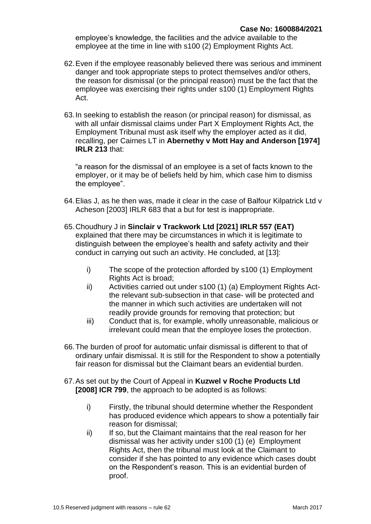employee's knowledge, the facilities and the advice available to the employee at the time in line with s100 (2) Employment Rights Act.

- 62.Even if the employee reasonably believed there was serious and imminent danger and took appropriate steps to protect themselves and/or others, the reason for dismissal (or the principal reason) must be the fact that the employee was exercising their rights under s100 (1) Employment Rights Act.
- 63.In seeking to establish the reason (or principal reason) for dismissal, as with all unfair dismissal claims under Part X Employment Rights Act, the Employment Tribunal must ask itself why the employer acted as it did, recalling, per Cairnes LT in **Abernethy v Mott Hay and Anderson [1974] IRLR 213** that:

"a reason for the dismissal of an employee is a set of facts known to the employer, or it may be of beliefs held by him, which case him to dismiss the employee".

- 64.Elias J, as he then was, made it clear in the case of Balfour Kilpatrick Ltd v Acheson [2003] IRLR 683 that a but for test is inappropriate.
- 65.Choudhury J in **Sinclair v Trackwork Ltd [2021] IRLR 557 (EAT)** explained that there may be circumstances in which it is legitimate to distinguish between the employee's health and safety activity and their conduct in carrying out such an activity. He concluded, at [13]:
	- i) The scope of the protection afforded by s100 (1) Employment Rights Act is broad;
	- ii) Activities carried out under s100 (1) (a) Employment Rights Actthe relevant sub-subsection in that case- will be protected and the manner in which such activities are undertaken will not readily provide grounds for removing that protection; but
	- iii) Conduct that is, for example, wholly unreasonable, malicious or irrelevant could mean that the employee loses the protection.
- 66.The burden of proof for automatic unfair dismissal is different to that of ordinary unfair dismissal. It is still for the Respondent to show a potentially fair reason for dismissal but the Claimant bears an evidential burden.
- 67.As set out by the Court of Appeal in **Kuzwel v Roche Products Ltd [2008] ICR 799**, the approach to be adopted is as follows:
	- i) Firstly, the tribunal should determine whether the Respondent has produced evidence which appears to show a potentially fair reason for dismissal;
	- ii) If so, but the Claimant maintains that the real reason for her dismissal was her activity under s100 (1) (e) Employment Rights Act, then the tribunal must look at the Claimant to consider if she has pointed to any evidence which cases doubt on the Respondent's reason. This is an evidential burden of proof.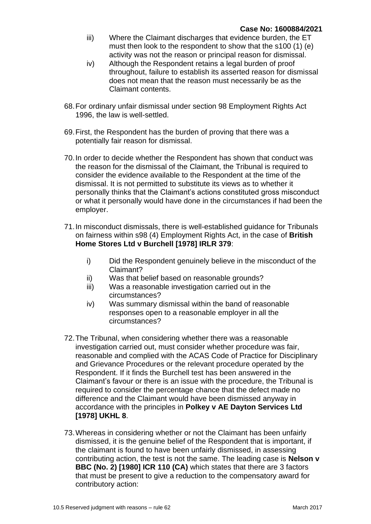- iii) Where the Claimant discharges that evidence burden, the ET must then look to the respondent to show that the s100 (1) (e) activity was not the reason or principal reason for dismissal.
- iv) Although the Respondent retains a legal burden of proof throughout, failure to establish its asserted reason for dismissal does not mean that the reason must necessarily be as the Claimant contents.
- 68.For ordinary unfair dismissal under section 98 Employment Rights Act 1996, the law is well-settled.
- 69.First, the Respondent has the burden of proving that there was a potentially fair reason for dismissal.
- 70.In order to decide whether the Respondent has shown that conduct was the reason for the dismissal of the Claimant, the Tribunal is required to consider the evidence available to the Respondent at the time of the dismissal. It is not permitted to substitute its views as to whether it personally thinks that the Claimant's actions constituted gross misconduct or what it personally would have done in the circumstances if had been the employer.
- 71.In misconduct dismissals, there is well-established guidance for Tribunals on fairness within s98 (4) Employment Rights Act, in the case of **British Home Stores Ltd v Burchell [1978] IRLR 379**:
	- i) Did the Respondent genuinely believe in the misconduct of the Claimant?
	- ii) Was that belief based on reasonable grounds?
	- iii) Was a reasonable investigation carried out in the circumstances?
	- iv) Was summary dismissal within the band of reasonable responses open to a reasonable employer in all the circumstances?
- 72.The Tribunal, when considering whether there was a reasonable investigation carried out, must consider whether procedure was fair, reasonable and complied with the ACAS Code of Practice for Disciplinary and Grievance Procedures or the relevant procedure operated by the Respondent. If it finds the Burchell test has been answered in the Claimant's favour or there is an issue with the procedure, the Tribunal is required to consider the percentage chance that the defect made no difference and the Claimant would have been dismissed anyway in accordance with the principles in **Polkey v AE Dayton Services Ltd [1978] UKHL 8**.
- 73.Whereas in considering whether or not the Claimant has been unfairly dismissed, it is the genuine belief of the Respondent that is important, if the claimant is found to have been unfairly dismissed, in assessing contributing action, the test is not the same. The leading case is **Nelson v BBC (No. 2) [1980] ICR 110 (CA)** which states that there are 3 factors that must be present to give a reduction to the compensatory award for contributory action: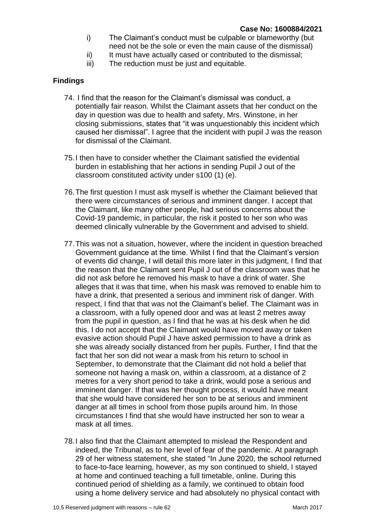- i) The Claimant's conduct must be culpable or blameworthy (but need not be the sole or even the main cause of the dismissal)
- ii) It must have actually cased or contributed to the dismissal;
- iii) The reduction must be just and equitable.

#### **Findings**

- 74. I find that the reason for the Claimant's dismissal was conduct, a potentially fair reason. Whilst the Claimant assets that her conduct on the day in question was due to health and safety, Mrs. Winstone, in her closing submissions, states that "it was unquestionably this incident which caused her dismissal". I agree that the incident with pupil J was the reason for dismissal of the Claimant.
- 75.I then have to consider whether the Claimant satisfied the evidential burden in establishing that her actions in sending Pupil J out of the classroom constituted activity under s100 (1) (e).
- 76.The first question I must ask myself is whether the Claimant believed that there were circumstances of serious and imminent danger. I accept that the Claimant, like many other people, had serious concerns about the Covid-19 pandemic, in particular, the risk it posted to her son who was deemed clinically vulnerable by the Government and advised to shield.
- 77.This was not a situation, however, where the incident in question breached Government guidance at the time. Whilst I find that the Claimant's version of events did change, I will detail this more later in this judgment, I find that the reason that the Claimant sent Pupil J out of the classroom was that he did not ask before he removed his mask to have a drink of water. She alleges that it was that time, when his mask was removed to enable him to have a drink, that presented a serious and imminent risk of danger. With respect, I find that that was not the Claimant's belief. The Claimant was in a classroom, with a fully opened door and was at least 2 metres away from the pupil in question, as I find that he was at his desk when he did this. I do not accept that the Claimant would have moved away or taken evasive action should Pupil J have asked permission to have a drink as she was already socially distanced from her pupils. Further, I find that the fact that her son did not wear a mask from his return to school in September, to demonstrate that the Claimant did not hold a belief that someone not having a mask on, within a classroom, at a distance of 2 metres for a very short period to take a drink, would pose a serious and imminent danger. If that was her thought process, it would have meant that she would have considered her son to be at serious and imminent danger at all times in school from those pupils around him. In those circumstances I find that she would have instructed her son to wear a mask at all times.
- 78.I also find that the Claimant attempted to mislead the Respondent and indeed, the Tribunal, as to her level of fear of the pandemic. At paragraph 29 of her witness statement, she stated "In June 2020, the school returned to face-to-face learning, however, as my son continued to shield, I stayed at home and continued teaching a full timetable, online. During this continued period of shielding as a family, we continued to obtain food using a home delivery service and had absolutely no physical contact with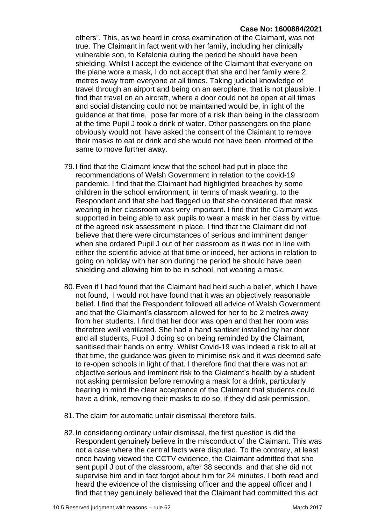#### **Case No: 1600884/2021**

others". This, as we heard in cross examination of the Claimant, was not true. The Claimant in fact went with her family, including her clinically vulnerable son, to Kefalonia during the period he should have been shielding. Whilst I accept the evidence of the Claimant that everyone on the plane wore a mask, I do not accept that she and her family were 2 metres away from everyone at all times. Taking judicial knowledge of travel through an airport and being on an aeroplane, that is not plausible. I find that travel on an aircraft, where a door could not be open at all times and social distancing could not be maintained would be, in light of the guidance at that time, pose far more of a risk than being in the classroom at the time Pupil J took a drink of water. Other passengers on the plane obviously would not have asked the consent of the Claimant to remove their masks to eat or drink and she would not have been informed of the same to move further away.

- 79.I find that the Claimant knew that the school had put in place the recommendations of Welsh Government in relation to the covid-19 pandemic. I find that the Claimant had highlighted breaches by some children in the school environment, in terms of mask wearing, to the Respondent and that she had flagged up that she considered that mask wearing in her classroom was very important. I find that the Claimant was supported in being able to ask pupils to wear a mask in her class by virtue of the agreed risk assessment in place. I find that the Claimant did not believe that there were circumstances of serious and imminent danger when she ordered Pupil J out of her classroom as it was not in line with either the scientific advice at that time or indeed, her actions in relation to going on holiday with her son during the period he should have been shielding and allowing him to be in school, not wearing a mask.
- 80.Even if I had found that the Claimant had held such a belief, which I have not found, I would not have found that it was an objectively reasonable belief. I find that the Respondent followed all advice of Welsh Government and that the Claimant's classroom allowed for her to be 2 metres away from her students. I find that her door was open and that her room was therefore well ventilated. She had a hand santiser installed by her door and all students, Pupil J doing so on being reminded by the Claimant, sanitised their hands on entry. Whilst Covid-19 was indeed a risk to all at that time, the guidance was given to minimise risk and it was deemed safe to re-open schools in light of that. I therefore find that there was not an objective serious and imminent risk to the Claimant's health by a student not asking permission before removing a mask for a drink, particularly bearing in mind the clear acceptance of the Claimant that students could have a drink, removing their masks to do so, if they did ask permission.
- 81.The claim for automatic unfair dismissal therefore fails.
- 82.In considering ordinary unfair dismissal, the first question is did the Respondent genuinely believe in the misconduct of the Claimant. This was not a case where the central facts were disputed. To the contrary, at least once having viewed the CCTV evidence, the Claimant admitted that she sent pupil J out of the classroom, after 38 seconds, and that she did not supervise him and in fact forgot about him for 24 minutes. I both read and heard the evidence of the dismissing officer and the appeal officer and I find that they genuinely believed that the Claimant had committed this act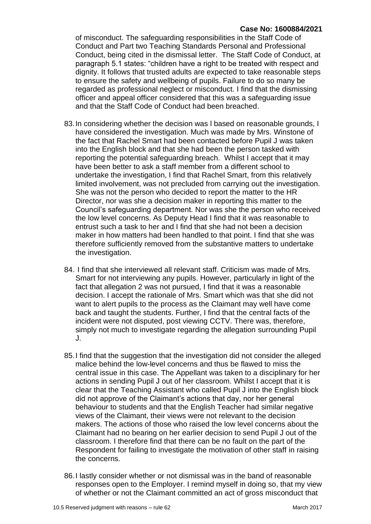#### **Case No: 1600884/2021**

of misconduct. The safeguarding responsibilities in the Staff Code of Conduct and Part two Teaching Standards Personal and Professional Conduct, being cited in the dismissal letter. The Staff Code of Conduct, at paragraph 5.1 states: "children have a right to be treated with respect and dignity. It follows that trusted adults are expected to take reasonable steps to ensure the safety and wellbeing of pupils. Failure to do so many be regarded as professional neglect or misconduct. I find that the dismissing officer and appeal officer considered that this was a safeguarding issue and that the Staff Code of Conduct had been breached.

- 83.In considering whether the decision was l based on reasonable grounds, I have considered the investigation. Much was made by Mrs. Winstone of the fact that Rachel Smart had been contacted before Pupil J was taken into the English block and that she had been the person tasked with reporting the potential safeguarding breach. Whilst I accept that it may have been better to ask a staff member from a different school to undertake the investigation, I find that Rachel Smart, from this relatively limited involvement, was not precluded from carrying out the investigation. She was not the person who decided to report the matter to the HR Director, nor was she a decision maker in reporting this matter to the Council's safeguarding department. Nor was she the person who received the low level concerns. As Deputy Head I find that it was reasonable to entrust such a task to her and I find that she had not been a decision maker in how matters had been handled to that point. I find that she was therefore sufficiently removed from the substantive matters to undertake the investigation.
- 84. I find that she interviewed all relevant staff. Criticism was made of Mrs. Smart for not interviewing any pupils. However, particularly in light of the fact that allegation 2 was not pursued, I find that it was a reasonable decision. I accept the rationale of Mrs. Smart which was that she did not want to alert pupils to the process as the Claimant may well have come back and taught the students. Further, I find that the central facts of the incident were not disputed, post viewing CCTV. There was, therefore, simply not much to investigate regarding the allegation surrounding Pupil J.
- 85.I find that the suggestion that the investigation did not consider the alleged malice behind the low-level concerns and thus be flawed to miss the central issue in this case. The Appellant was taken to a disciplinary for her actions in sending Pupil J out of her classroom. Whilst I accept that it is clear that the Teaching Assistant who called Pupil J into the English block did not approve of the Claimant's actions that day, nor her general behaviour to students and that the English Teacher had similar negative views of the Claimant, their views were not relevant to the decision makers. The actions of those who raised the low level concerns about the Claimant had no bearing on her earlier decision to send Pupil J out of the classroom. I therefore find that there can be no fault on the part of the Respondent for failing to investigate the motivation of other staff in raising the concerns.
- 86.I lastly consider whether or not dismissal was in the band of reasonable responses open to the Employer. I remind myself in doing so, that my view of whether or not the Claimant committed an act of gross misconduct that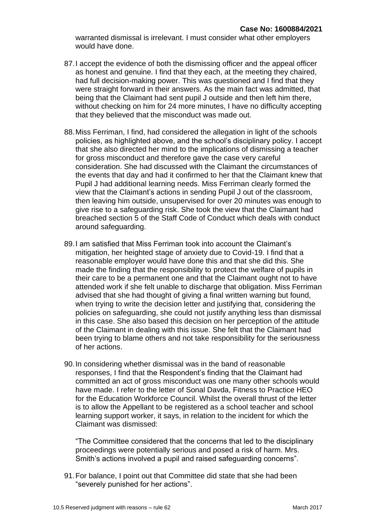warranted dismissal is irrelevant. I must consider what other employers would have done.

- 87.I accept the evidence of both the dismissing officer and the appeal officer as honest and genuine. I find that they each, at the meeting they chaired, had full decision-making power. This was questioned and I find that they were straight forward in their answers. As the main fact was admitted, that being that the Claimant had sent pupil J outside and then left him there, without checking on him for 24 more minutes, I have no difficulty accepting that they believed that the misconduct was made out.
- 88.Miss Ferriman, I find, had considered the allegation in light of the schools policies, as highlighted above, and the school's disciplinary policy. I accept that she also directed her mind to the implications of dismissing a teacher for gross misconduct and therefore gave the case very careful consideration. She had discussed with the Claimant the circumstances of the events that day and had it confirmed to her that the Claimant knew that Pupil J had additional learning needs. Miss Ferriman clearly formed the view that the Claimant's actions in sending Pupil J out of the classroom, then leaving him outside, unsupervised for over 20 minutes was enough to give rise to a safeguarding risk. She took the view that the Claimant had breached section 5 of the Staff Code of Conduct which deals with conduct around safeguarding.
- 89.I am satisfied that Miss Ferriman took into account the Claimant's mitigation, her heighted stage of anxiety due to Covid-19. I find that a reasonable employer would have done this and that she did this. She made the finding that the responsibility to protect the welfare of pupils in their care to be a permanent one and that the Claimant ought not to have attended work if she felt unable to discharge that obligation. Miss Ferriman advised that she had thought of giving a final written warning but found, when trying to write the decision letter and justifying that, considering the policies on safeguarding, she could not justify anything less than dismissal in this case. She also based this decision on her perception of the attitude of the Claimant in dealing with this issue. She felt that the Claimant had been trying to blame others and not take responsibility for the seriousness of her actions.
- 90.In considering whether dismissal was in the band of reasonable responses, I find that the Respondent's finding that the Claimant had committed an act of gross misconduct was one many other schools would have made. I refer to the letter of Sonal Davda, Fitness to Practice HEO for the Education Workforce Council. Whilst the overall thrust of the letter is to allow the Appellant to be registered as a school teacher and school learning support worker, it says, in relation to the incident for which the Claimant was dismissed:

"The Committee considered that the concerns that led to the disciplinary proceedings were potentially serious and posed a risk of harm. Mrs. Smith's actions involved a pupil and raised safeguarding concerns".

91.For balance, I point out that Committee did state that she had been "severely punished for her actions".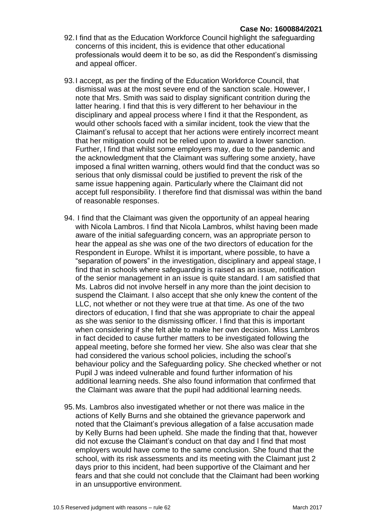- 92.I find that as the Education Workforce Council highlight the safeguarding concerns of this incident, this is evidence that other educational professionals would deem it to be so, as did the Respondent's dismissing and appeal officer.
- 93.I accept, as per the finding of the Education Workforce Council, that dismissal was at the most severe end of the sanction scale. However, I note that Mrs. Smith was said to display significant contrition during the latter hearing. I find that this is very different to her behaviour in the disciplinary and appeal process where I find it that the Respondent, as would other schools faced with a similar incident, took the view that the Claimant's refusal to accept that her actions were entirely incorrect meant that her mitigation could not be relied upon to award a lower sanction. Further, I find that whilst some employers may, due to the pandemic and the acknowledgment that the Claimant was suffering some anxiety, have imposed a final written warning, others would find that the conduct was so serious that only dismissal could be justified to prevent the risk of the same issue happening again. Particularly where the Claimant did not accept full responsibility. I therefore find that dismissal was within the band of reasonable responses.
- 94. I find that the Claimant was given the opportunity of an appeal hearing with Nicola Lambros. I find that Nicola Lambros, whilst having been made aware of the initial safeguarding concern, was an appropriate person to hear the appeal as she was one of the two directors of education for the Respondent in Europe. Whilst it is important, where possible, to have a "separation of powers" in the investigation, disciplinary and appeal stage, I find that in schools where safeguarding is raised as an issue, notification of the senior management in an issue is quite standard. I am satisfied that Ms. Labros did not involve herself in any more than the joint decision to suspend the Claimant. I also accept that she only knew the content of the LLC, not whether or not they were true at that time. As one of the two directors of education, I find that she was appropriate to chair the appeal as she was senior to the dismissing officer. I find that this is important when considering if she felt able to make her own decision. Miss Lambros in fact decided to cause further matters to be investigated following the appeal meeting, before she formed her view. She also was clear that she had considered the various school policies, including the school's behaviour policy and the Safeguarding policy. She checked whether or not Pupil J was indeed vulnerable and found further information of his additional learning needs. She also found information that confirmed that the Claimant was aware that the pupil had additional learning needs.
- 95.Ms. Lambros also investigated whether or not there was malice in the actions of Kelly Burns and she obtained the grievance paperwork and noted that the Claimant's previous allegation of a false accusation made by Kelly Burns had been upheld. She made the finding that that, however did not excuse the Claimant's conduct on that day and I find that most employers would have come to the same conclusion. She found that the school, with its risk assessments and its meeting with the Claimant just 2 days prior to this incident, had been supportive of the Claimant and her fears and that she could not conclude that the Claimant had been working in an unsupportive environment.